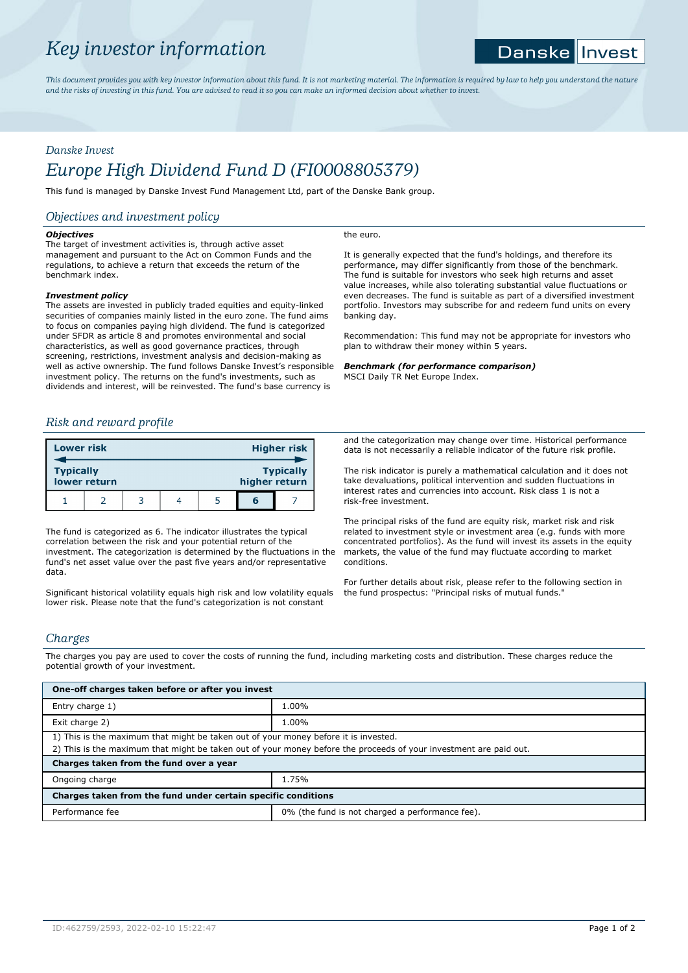# *Key investor information*

#### **Danske** |Invest

*This document provides you with key investor information about this fund. It is not marketing material. The information is required by law to help you understand the nature and the risks of investing in this fund. You are advised to read it so you can make an informed decision about whether to invest.*

the euro.

## *Danske Invest*

# *Europe High Dividend Fund D (FI0008805379)*

This fund is managed by Danske Invest Fund Management Ltd, part of the Danske Bank group.

## *Objectives and investment policy*

## *Objectives*

The target of investment activities is, through active asset management and pursuant to the Act on Common Funds and the regulations, to achieve a return that exceeds the return of the benchmark index.

## *Investment policy*

The assets are invested in publicly traded equities and equity-linked securities of companies mainly listed in the euro zone. The fund aims to focus on companies paying high dividend. The fund is categorized under SFDR as article 8 and promotes environmental and social characteristics, as well as good governance practices, through screening, restrictions, investment analysis and decision-making as well as active ownership. The fund follows Danske Invest's responsible investment policy. The returns on the fund's investments, such as dividends and interest, will be reinvested. The fund's base currency is

## *Risk and reward profile*

| <b>Lower risk</b> |              |   |               | <b>Higher risk</b> |
|-------------------|--------------|---|---------------|--------------------|
| <b>Typically</b>  | lower return |   | higher return | <b>Typically</b>   |
|                   |              | Δ |               |                    |

The fund is categorized as 6. The indicator illustrates the typical correlation between the risk and your potential return of the investment. The categorization is determined by the fluctuations in the fund's net asset value over the past five years and/or representative data.

Significant historical volatility equals high risk and low volatility equals lower risk. Please note that the fund's categorization is not constant

It is generally expected that the fund's holdings, and therefore its performance, may differ significantly from those of the benchmark. The fund is suitable for investors who seek high returns and asset value increases, while also tolerating substantial value fluctuations or even decreases. The fund is suitable as part of a diversified investment portfolio. Investors may subscribe for and redeem fund units on every banking day.

Recommendation: This fund may not be appropriate for investors who plan to withdraw their money within 5 years.

## *Benchmark (for performance comparison)*

MSCI Daily TR Net Europe Index.

and the categorization may change over time. Historical performance data is not necessarily a reliable indicator of the future risk profile.

The risk indicator is purely a mathematical calculation and it does not take devaluations, political intervention and sudden fluctuations in interest rates and currencies into account. Risk class 1 is not a risk-free investment.

The principal risks of the fund are equity risk, market risk and risk related to investment style or investment area (e.g. funds with more concentrated portfolios). As the fund will invest its assets in the equity markets, the value of the fund may fluctuate according to market conditions.

For further details about risk, please refer to the following section in the fund prospectus: "Principal risks of mutual funds."

## *Charges*

The charges you pay are used to cover the costs of running the fund, including marketing costs and distribution. These charges reduce the potential growth of your investment.

| One-off charges taken before or after you invest                                                                                                                                                         |                                                 |  |  |  |
|----------------------------------------------------------------------------------------------------------------------------------------------------------------------------------------------------------|-------------------------------------------------|--|--|--|
| Entry charge 1)                                                                                                                                                                                          | 1.00%                                           |  |  |  |
| Exit charge 2)                                                                                                                                                                                           | 1.00%                                           |  |  |  |
| 1) This is the maximum that might be taken out of your money before it is invested.<br>2) This is the maximum that might be taken out of your money before the proceeds of your investment are paid out. |                                                 |  |  |  |
| Charges taken from the fund over a year                                                                                                                                                                  |                                                 |  |  |  |
| Ongoing charge                                                                                                                                                                                           | 1.75%                                           |  |  |  |
| Charges taken from the fund under certain specific conditions                                                                                                                                            |                                                 |  |  |  |
| Performance fee                                                                                                                                                                                          | 0% (the fund is not charged a performance fee). |  |  |  |